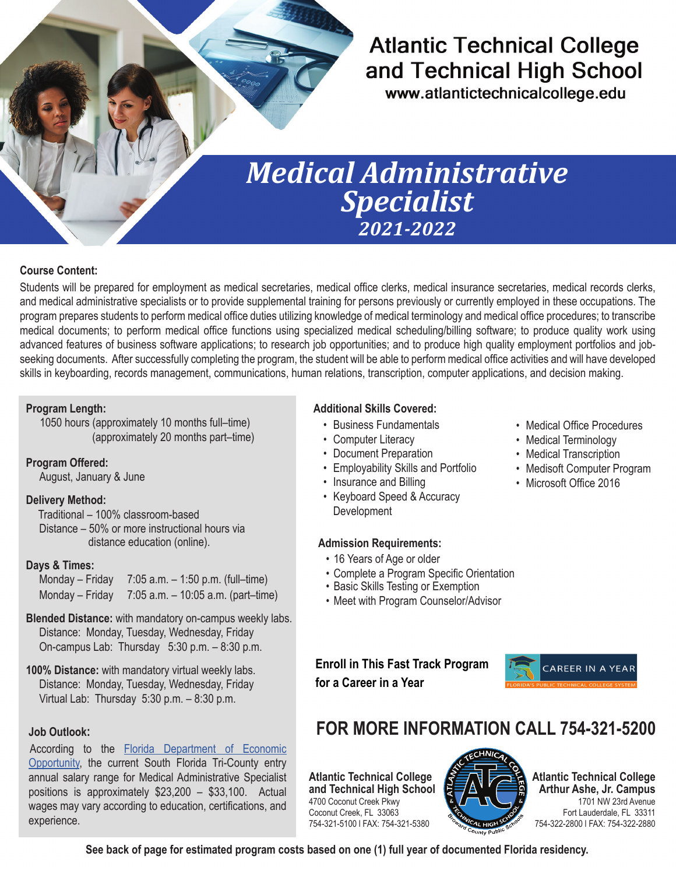## **Atlantic Technical College** and Technical High School

www.atlantictechnicalcollege.edu

# *Medical Administrative Specialist 2021-2022*

#### **Course Content:**

Students will be prepared for employment as medical secretaries, medical office clerks, medical insurance secretaries, medical records clerks, and medical administrative specialists or to provide supplemental training for persons previously or currently employed in these occupations. The program prepares students to perform medical office duties utilizing knowledge of medical terminology and medical office procedures; to transcribe medical documents; to perform medical office functions using specialized medical scheduling/billing software; to produce quality work using advanced features of business software applications; to research job opportunities; and to produce high quality employment portfolios and jobseeking documents. After successfully completing the program, the student will be able to perform medical office activities and will have developed skills in keyboarding, records management, communications, human relations, transcription, computer applications, and decision making.

#### **Program Length:**

 1050 hours (approximately 10 months full–time) (approximately 20 months part–time)

**Program Offered:** 

August, January & June

#### **Delivery Method:**

Traditional – 100% classroom-based Distance – 50% or more instructional hours via distance education (online).

#### **Days & Times:**

| Monday – Friday | 7:05 a.m. $-$ 1:50 p.m. (full–time)  |
|-----------------|--------------------------------------|
| Monday – Friday | 7:05 a.m. $-$ 10:05 a.m. (part-time) |

#### **Blended Distance:** with mandatory on-campus weekly labs. Distance: Monday, Tuesday, Wednesday, Friday On-campus Lab: Thursday 5:30 p.m. – 8:30 p.m.

**100% Distance:** with mandatory virtual weekly labs. Distance: Monday, Tuesday, Wednesday, Friday Virtual Lab: Thursday 5:30 p.m. – 8:30 p.m.

#### **Job Outlook:**

According to the [Florida Department of Economic](https://floridajobs.org/workforce-statistics/data-center/statistical-programs/occupational-employment-statistics-and-wages)  [Opportunity,](https://floridajobs.org/workforce-statistics/data-center/statistical-programs/occupational-employment-statistics-and-wages) the current South Florida Tri-County entry annual salary range for Medical Administrative Specialist positions is approximately \$23,200 – \$33,100. Actual wages may vary according to education, certifications, and experience.

#### **Additional Skills Covered:**

- Business Fundamentals
- Computer Literacy
- Document Preparation
- Employability Skills and Portfolio
- Insurance and Billing
- Keyboard Speed & Accuracy Development

#### **Admission Requirements:**

- 16 Years of Age or older
- Complete a Program Specific Orientation
- Basic Skills Testing or Exemption
- Meet with Program Counselor/Advisor

#### **Enroll in This Fast Track Program for a Career in a Year**



## **FOR MORE INFORMATION CALL 754-321-5200**

**Atlantic Technical College and Technical High School** 4700 Coconut Creek Pkwy Coconut Creek, FL 33063 754-321-5100 l FAX: 754-321-5380



**Atlantic Technical College Arthur Ashe, Jr. Campus** 1701 NW 23rd Avenue Fort Lauderdale, FL 33311 754-322-2800 l FAX: 754-322-2880

**See back of page for estimated program costs based on one (1) full year of documented Florida residency.**

- Medical Office Procedures
- Medical Terminology
- Medical Transcription
- Medisoft Computer Program
- Microsoft Office 2016